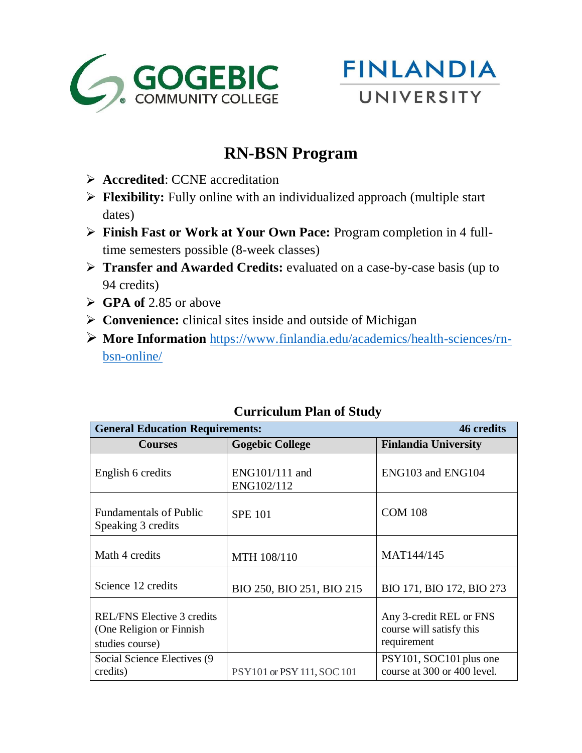



## **RN-BSN Program**

- **Accredited**: CCNE accreditation
- **Flexibility:** Fully online with an individualized approach (multiple start dates)
- **Finish Fast or Work at Your Own Pace:** Program completion in 4 fulltime semesters possible (8-week classes)
- **Transfer and Awarded Credits:** evaluated on a case-by-case basis (up to 94 credits)
- **GPA of** 2.85 or above
- **Convenience:** clinical sites inside and outside of Michigan
- **More Information** [https://www.finlandia.edu/academics/health-sciences/rn](https://www.finlandia.edu/academics/health-sciences/rn-bsn-online/)[bsn-online/](https://www.finlandia.edu/academics/health-sciences/rn-bsn-online/)

| <b>General Education Requirements:</b><br>46 credits                              |                                |                                                                    |  |
|-----------------------------------------------------------------------------------|--------------------------------|--------------------------------------------------------------------|--|
| <b>Courses</b>                                                                    | <b>Gogebic College</b>         | <b>Finlandia University</b>                                        |  |
| English 6 credits                                                                 | $ENG101/111$ and<br>ENG102/112 | ENG103 and ENG104                                                  |  |
| <b>Fundamentals of Public</b><br>Speaking 3 credits                               | <b>SPE 101</b>                 | <b>COM 108</b>                                                     |  |
| Math 4 credits                                                                    | MTH 108/110                    | MAT144/145                                                         |  |
| Science 12 credits                                                                | BIO 250, BIO 251, BIO 215      | BIO 171, BIO 172, BIO 273                                          |  |
| <b>REL/FNS Elective 3 credits</b><br>(One Religion or Finnish)<br>studies course) |                                | Any 3-credit REL or FNS<br>course will satisfy this<br>requirement |  |
| Social Science Electives (9)<br>credits)                                          | PSY101 or PSY 111, SOC 101     | PSY101, SOC101 plus one<br>course at 300 or 400 level.             |  |

## **Curriculum Plan of Study**